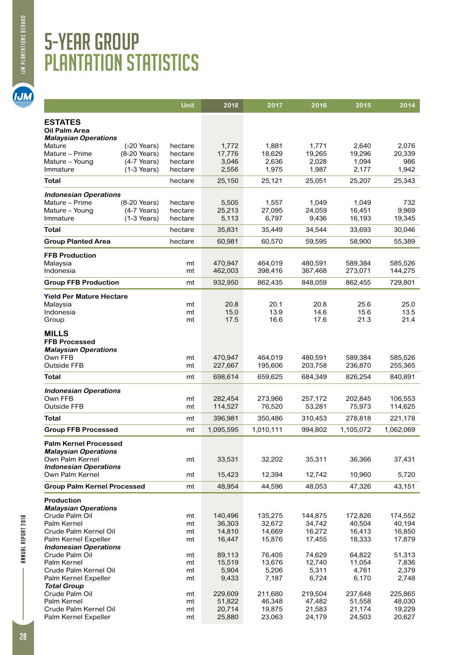## **IJM PLANTATIONS BERHAD**

**IJM** 

## 5-year group plantation statistics

|                                                                               | Unit               | 2018               | 2017               | 2016               | 2015               | 2014               |
|-------------------------------------------------------------------------------|--------------------|--------------------|--------------------|--------------------|--------------------|--------------------|
| <b>ESTATES</b>                                                                |                    |                    |                    |                    |                    |                    |
| <b>Oil Palm Area</b>                                                          |                    |                    |                    |                    |                    |                    |
| <b>Malaysian Operations</b><br>Mature<br>$(20 \text{ Years})$                 | hectare            | 1,772              | 1,881              | 1,771              | 2,640              | 2,076              |
| Mature - Prime<br>(8-20 Years)                                                | hectare            | 17,776             | 18,629             | 19,265             | 19,296             | 20,339             |
| Mature - Young<br>$(4-7$ Years)                                               | hectare            | 3,046              | 2,636              | 2,028              | 1,094              | 1,942              |
| $(1-3$ Years)<br>Immature                                                     | hectare            | 2,556              | 1,975              | 1,987              | 2,177              |                    |
| Total                                                                         | hectare            | 25,150             | 25,121             | 25,051             | 25,207             | 25,343             |
| <b>Indonesian Operations</b>                                                  |                    |                    |                    |                    |                    |                    |
| Mature - Prime<br>(8-20 Years)<br>Mature - Young<br>$(4-7$ Years)             | hectare<br>hectare | 5,505<br>25,213    | 1,557<br>27,095    | 1,049<br>24,059    | 1,049<br>16,451    | 9,969              |
| $(1-3$ Years)<br>Immature                                                     | hectare            | 5,113              | 6,797              | 9,436              | 16,193             | 19,345             |
| <b>Total</b>                                                                  | hectare            | 35,831             | 35,449             | 34,544             | 33,693             | 30,046             |
| <b>Group Planted Area</b>                                                     | hectare            | 60,981             | 60,570             | 59,595             | 58,900             | 55,389             |
| <b>FFB Production</b>                                                         |                    |                    |                    |                    |                    |                    |
| Malaysia                                                                      | mt                 | 470,947            | 464,019            | 480,591            | 589,384            | 585,526            |
| Indonesia                                                                     | mt                 | 462,003            | 398,416            | 367,468            | 273,071            | 144,275            |
| <b>Group FFB Production</b>                                                   | mt                 | 932,950            | 862,435            | 848,059            | 862,455            | 729,801            |
| <b>Yield Per Mature Hectare</b>                                               |                    |                    |                    |                    |                    |                    |
| Malaysia<br>Indonesia                                                         | mt<br>mt           | 20.8<br>15.0       | 20.1<br>13.9       | 20.8<br>14.6       | 25.6<br>15.6       |                    |
| Group                                                                         | mt                 | 17.5               | 16.6               | 17.6               | 21.3               |                    |
| <b>FFB Processed</b><br><b>Malaysian Operations</b><br>Own FFB<br>Outside FFB | mt<br>mt           | 470,947<br>227,667 | 464,019<br>195,606 | 480.591<br>203,758 | 589,384<br>236,870 | 585,526<br>255,365 |
| Total                                                                         | mt                 | 698,614            | 659,625            | 684,349            | 826,254            | 840,891            |
| <b>Indonesian Operations</b>                                                  |                    |                    |                    |                    |                    |                    |
| Own FFB<br><b>Outside FFB</b>                                                 | mt<br>mt           | 282,454<br>114,527 | 273,966<br>76,520  | 257,172<br>53,281  | 202,845<br>75,973  | 106,553<br>114,625 |
| <b>Total</b>                                                                  | mt                 | 396,981            | 350,486            | 310,453            | 278,818            | 221,178            |
| <b>Group FFB Processed</b>                                                    | mt                 | 1,095,595          | 1,010,111          | 994,802            | 1,105,072          | 1,062,069          |
| <b>Palm Kernel Processed</b>                                                  |                    |                    |                    |                    |                    |                    |
| <b>Malaysian Operations</b>                                                   |                    |                    |                    |                    |                    |                    |
| Own Palm Kernel<br><b>Indonesian Operations</b>                               | mt                 | 33,531             | 32,202             | 35,311             | 36,366             | 37,431             |
| Own Palm Kernel                                                               | mt                 | 15,423             | 12,394             | 12,742             | 10,960             | 5,720              |
| <b>Group Palm Kernel Processed</b>                                            | mt                 | 48,954             | 44,596             | 48,053             | 47,326             | 43,151             |
| <b>Production</b>                                                             |                    |                    |                    |                    |                    |                    |
| <b>Malaysian Operations</b><br>Crude Palm Oil                                 | mt                 | 140,496            | 135,275            | 144,875            | 172,826            | 174,552            |
| Palm Kernel                                                                   | mt                 | 36,303             | 32,672             | 34,742             | 40,504             | 40,194             |
| Crude Palm Kernel Oil                                                         | mt                 | 14,810             | 14,669             | 16,272             | 16,413             | 16,850             |
| Palm Kernel Expeller<br><b>Indonesian Operations</b>                          | mt                 | 16,447             | 15,876             | 17,455             | 18,333             | 17,879             |
| Crude Palm Oil                                                                | mt                 | 89,113             | 76,405             | 74,629             | 64,822             | 51,313             |
| Palm Kernel                                                                   | mt                 | 15,519             | 13,676             | 12,740             | 11,054             | 7,836              |
| Crude Palm Kernel Oil                                                         | mt                 | 5,904              | 5,206              | 5,311              | 4,761              | 2,379<br>2,748     |
| Palm Kernel Expeller<br><b>Total Group</b>                                    | mt                 | 9,433              | 7,187              | 6,724              | 6,170              |                    |
| Crude Palm Oil                                                                | mt                 | 229,609            | 211,680            | 219,504            | 237,648            | 225,865            |
| Palm Kernel                                                                   | mt                 | 51,822             | 46,348             | 47,482             | 51,558<br>21,174   | 48,030             |
| Crude Palm Kernel Oil                                                         | mt                 | 20,714             | 19,875             | 21,583             |                    | 19,229             |